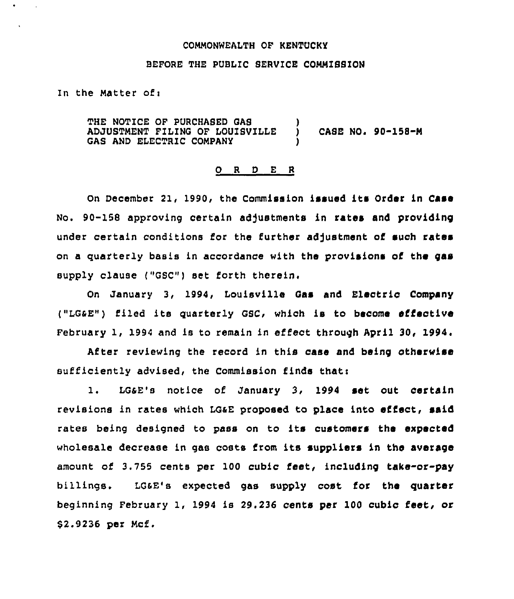#### COMMONWEALTH OF KENTUCKY

## BEFORE THE PUBLIC SERVICE COMMISSION

In the Matter of <sup>i</sup>

THE NOTICE OF PURCHASED GAS ADJUSTMENT FILING OF LOUIBVILLE GAS AND ELECTRIC COMPANY  $)$  CASE NO. 90-158-M )

#### 0 <sup>R</sup> <sup>D</sup> E <sup>R</sup>

on December 21, 1990, the Commission issued its Order in Case No. 90-158 approving certain adjustments in rates and providing under certain conditions for the further adjustment of such rates on a quarterly basis in accordance with the provisions of the gas supply clause ("GSC") set forth therein.

On January 3, 1994, Louisville Gas and Electric Company ("LGaE") f'lied ite quarterly GSC, which is to become effective February 1, 1994 and is to remain in effect through April 30, 1994.

After reviewing the record in this case and being otherwise  $sufficiently add, the Commission finds that:$ 

1. LGaE's notice of January 3, <sup>1994</sup> set out certain revisions in rates which LGaE proposed to place into effect, said rates being designed to pass on to its customers the expected wholesale decrease in gas costs from its suppliers in the average amount of 3.755 cents per 100 cubic feet, including take-or-pay billings. LGaE's expected gas supply cost for the quarter beginning February 1, 1994 is 29.236 cents par 100 cubic feet, or \$2.9236 per Mcf.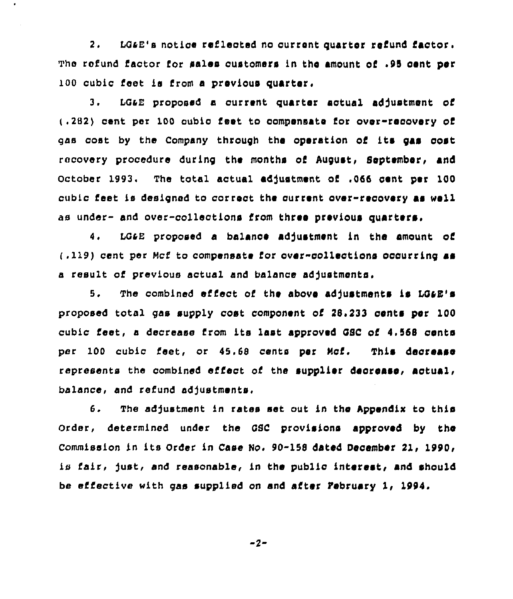2, LGa8's notice reflected no current quarter refund factor. The refund factor for sales customers in the amount of .95 cent per 100 cubic feet is from a previous quarter,

ø.

3. LG&E proposed a current quarter actual adjustment of (.282) cent per 100 cubic feet to compensate for over-recovery of gas cost by the company through the operation of its gas cost racovery procedure during the months of August, September, and October 1993. The total actual adjustment of .066 cent per 100 cubic feet is designed to correct the ourrent over-recovery as well as under- and over-collections from three previous quarters.

4. LG&E proposed a balance adjustment in the amount of (.119) cent per Mcf to compensate for over-collections oocurring as a result of previous actual and balance ad)ustments.

5. The combined effect of the above adjustments is LG&E's proposed total gas supply cost component of  $28.233$  cents per  $100$ cubic feet, <sup>a</sup> decrease from its last approved GSC of 4,568 oents per 100 cubic feet, or 45.68 cents per Mcf. This decrease represents the combined effect of the supplier decrease, actual, balance, and refund adjustments,

6. The adjustment in rates set out in the Appendix to this Order, determined under the GSC provisions approved by the Commission in its Order in Case No. 90-158 dated December 21, 1990, is fair, just, and reasonable, in the public interest, and should be effective with gas supplied on and after Pebruary 1, 1994.

 $-2-$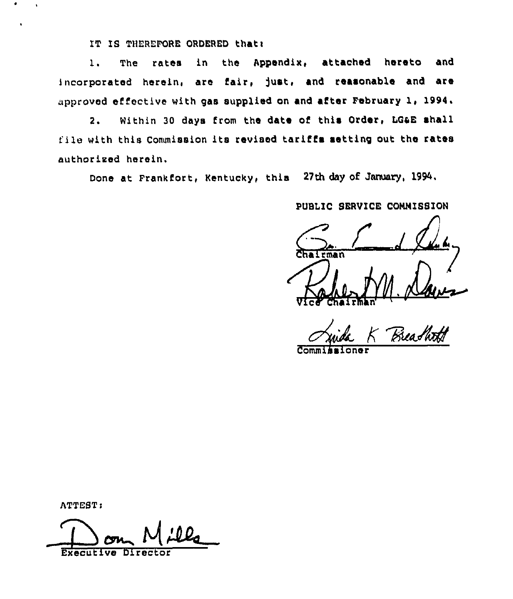IT IS THEREFORE ORDERED that:

The rates in the Appendix, attached hereto and  $1.$ incorporated herein, are fair, just, and reasonable and are approved effective with gas supplied on and after February 1, 1994.

Within 30 days from the date of this Order, LG&E shall  $2.$ file with this Commission its revised tariffs setting out the rates authorized herein.

Done at Frankfort, Kentucky, this 27th day of January, 1994.

PUBLIC SERVICE COMMISSION

rman

ATTEST:

 $\ddot{\phantom{a}}$ 

Executive Director